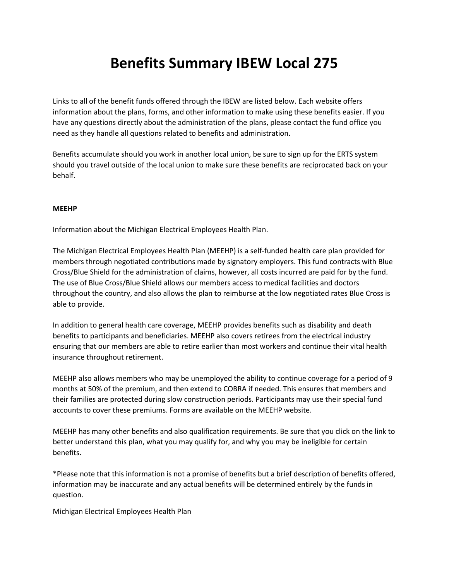# **Benefits Summary IBEW Local 275**

Links to all of the benefit funds offered through the IBEW are listed below. Each website offers information about the plans, forms, and other information to make using these benefits easier. If you have any questions directly about the administration of the plans, please contact the fund office you need as they handle all questions related to benefits and administration.

Benefits accumulate should you work in another local union, be sure to sign up for the ERTS system should you travel outside of the local union to make sure these benefits are reciprocated back on your behalf.

### **MEEHP**

Information about the Michigan Electrical Employees Health Plan.

The Michigan Electrical Employees Health Plan (MEEHP) is a self-funded health care plan provided for members through negotiated contributions made by signatory employers. This fund contracts with Blue Cross/Blue Shield for the administration of claims, however, all costs incurred are paid for by the fund. The use of Blue Cross/Blue Shield allows our members access to medical facilities and doctors throughout the country, and also allows the plan to reimburse at the low negotiated rates Blue Cross is able to provide.

In addition to general health care coverage, MEEHP provides benefits such as disability and death benefits to participants and beneficiaries. MEEHP also covers retirees from the electrical industry ensuring that our members are able to retire earlier than most workers and continue their vital health insurance throughout retirement.

MEEHP also allows members who may be unemployed the ability to continue coverage for a period of 9 months at 50% of the premium, and then extend to COBRA if needed. This ensures that members and their families are protected during slow construction periods. Participants may use their special fund accounts to cover these premiums. Forms are available on the MEEHP website.

MEEHP has many other benefits and also qualification requirements. Be sure that you click on the link to better understand this plan, what you may qualify for, and why you may be ineligible for certain benefits.

\*Please note that this information is not a promise of benefits but a brief description of benefits offered, information may be inaccurate and any actual benefits will be determined entirely by the funds in question.

Michigan Electrical Employees Health Plan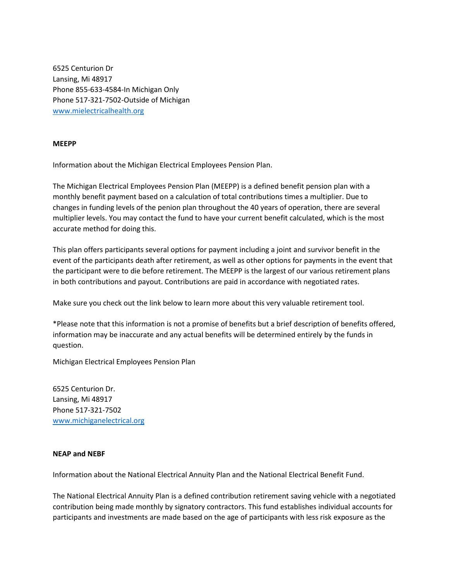6525 Centurion Dr Lansing, Mi 48917 Phone 855-633-4584-In Michigan Only Phone 517-321-7502-Outside of Michigan [www.mielectricalhealth.org](http://www.mielectricalhealth.org/)

## **MEEPP**

Information about the Michigan Electrical Employees Pension Plan.

The Michigan Electrical Employees Pension Plan (MEEPP) is a defined benefit pension plan with a monthly benefit payment based on a calculation of total contributions times a multiplier. Due to changes in funding levels of the penion plan throughout the 40 years of operation, there are several multiplier levels. You may contact the fund to have your current benefit calculated, which is the most accurate method for doing this.

This plan offers participants several options for payment including a joint and survivor benefit in the event of the participants death after retirement, as well as other options for payments in the event that the participant were to die before retirement. The MEEPP is the largest of our various retirement plans in both contributions and payout. Contributions are paid in accordance with negotiated rates.

Make sure you check out the link below to learn more about this very valuable retirement tool.

\*Please note that this information is not a promise of benefits but a brief description of benefits offered, information may be inaccurate and any actual benefits will be determined entirely by the funds in question.

Michigan Electrical Employees Pension Plan

6525 Centurion Dr. Lansing, Mi 48917 Phone 517-321-7502 [www.michiganelectrical.org](http://www.michiganelectrical.org/)

### **NEAP and NEBF**

Information about the National Electrical Annuity Plan and the National Electrical Benefit Fund.

The National Electrical Annuity Plan is a defined contribution retirement saving vehicle with a negotiated contribution being made monthly by signatory contractors. This fund establishes individual accounts for participants and investments are made based on the age of participants with less risk exposure as the